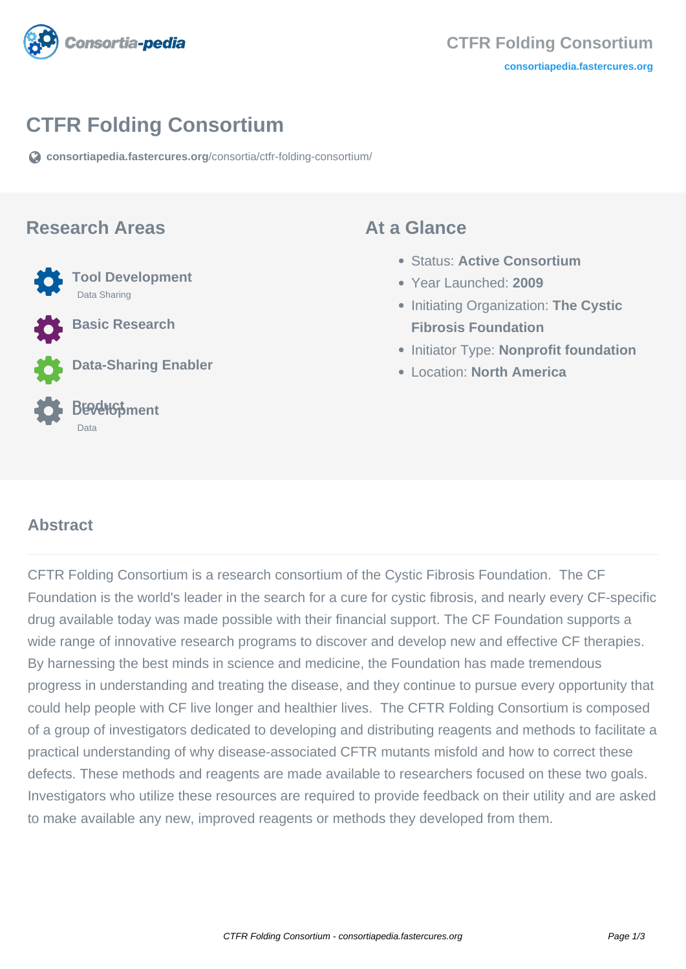

# **CTFR Folding Consortium**

**[consortiapedia.fastercures.org](https://consortiapedia.fastercures.org/consortia/ctfr-folding-consortium/)**[/consortia/ctfr-folding-consortium/](https://consortiapedia.fastercures.org/consortia/ctfr-folding-consortium/)

#### **Research Areas**



**Basic Research**

**Data-Sharing Enabler**

#### **Product Development** Data

#### **At a Glance**

- Status: **Active Consortium**
- Year Launched: **2009**
- **Initiating Organization: The Cystic Fibrosis Foundation**
- **Initiator Type: Nonprofit foundation**
- Location: **North America**

#### $\overline{a}$ **Abstract**

CFTR Folding Consortium is a research consortium of the Cystic Fibrosis Foundation. The CF Foundation is the world's leader in the search for a cure for cystic fibrosis, and nearly every CF-specific drug available today was made possible with their financial support. The CF Foundation supports a wide range of innovative research programs to discover and develop new and effective CF therapies. By harnessing the best minds in science and medicine, the Foundation has made tremendous progress in understanding and treating the disease, and they continue to pursue every opportunity that could help people with CF live longer and healthier lives. The CFTR Folding Consortium is composed of a group of investigators dedicated to developing and distributing reagents and methods to facilitate a practical understanding of why disease-associated CFTR mutants misfold and how to correct these defects. These methods and reagents are made available to researchers focused on these two goals. Investigators who utilize these resources are required to provide feedback on their utility and are asked to make available any new, improved reagents or methods they developed from them.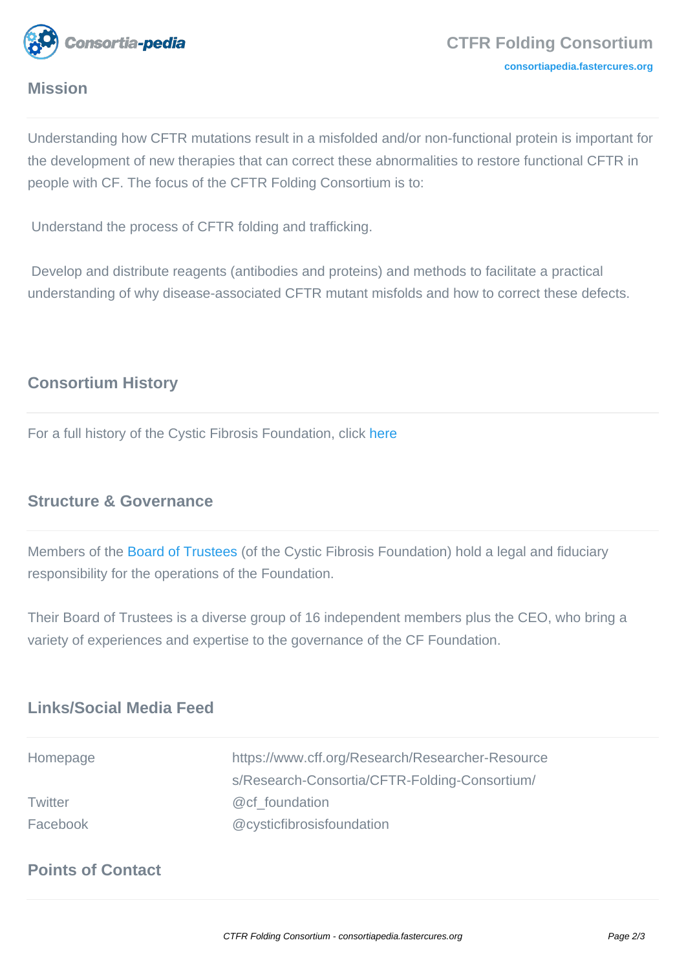

# **Mission**

Understanding how CFTR mutations result in a misfolded and/or non-functional protein is important for the development of new therapies that can correct these abnormalities to restore functional CFTR in people with CF. The focus of the CFTR Folding Consortium is to:

Understand the process of CFTR folding and trafficking.

 Develop and distribute reagents (antibodies and proteins) and methods to facilitate a practical understanding of why disease-associated CFTR mutant misfolds and how to correct these defects.

# **Consortium History**

For a full history of the Cystic Fibrosis Foundation, click [here](https://www.cff.org/About-Us/Our-History/)

## **Structure & Governance**

Members of the [Board of Trustees](https://www.cff.org/About-Us/Board-of-Trustees/) (of the Cystic Fibrosis Foundation) hold a legal and fiduciary responsibility for the operations of the Foundation.

Their Board of Trustees is a diverse group of 16 independent members plus the CEO, who bring a variety of experiences and expertise to the governance of the CF Foundation.

# **Links/Social Media Feed**

| Homepage | https://www.cff.org/Research/Researcher-Resource |
|----------|--------------------------------------------------|
|          | s/Research-Consortia/CFTR-Folding-Consortium/    |
| Twitter  | @cf foundation                                   |
| Facebook | @cysticfibrosisfoundation                        |

### **Points of Contact**